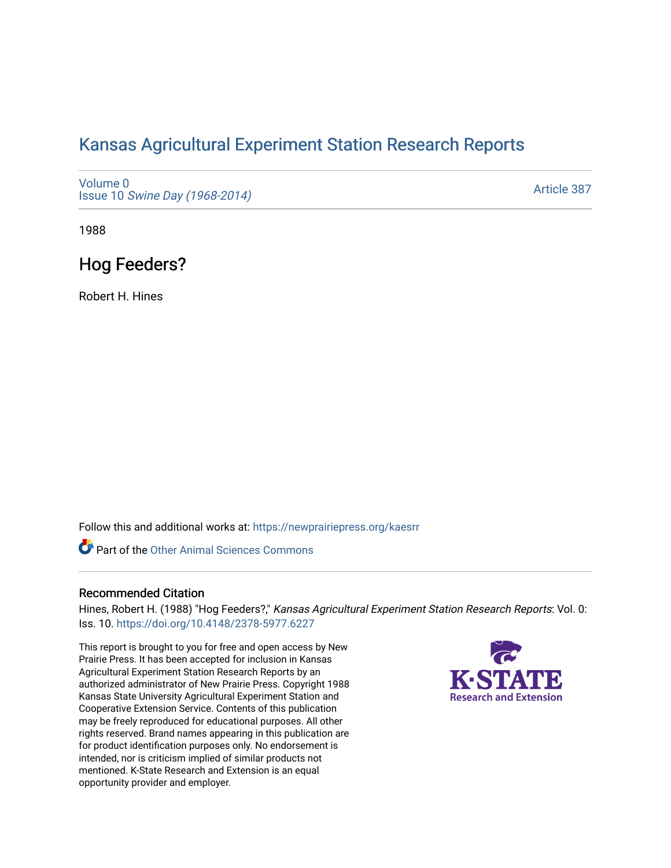# [Kansas Agricultural Experiment Station Research Reports](https://newprairiepress.org/kaesrr)

[Volume 0](https://newprairiepress.org/kaesrr/vol0) Issue 10 [Swine Day \(1968-2014\)](https://newprairiepress.org/kaesrr/vol0/iss10)

[Article 387](https://newprairiepress.org/kaesrr/vol0/iss10/387) 

1988

## Hog Feeders?

Robert H. Hines

Follow this and additional works at: [https://newprairiepress.org/kaesrr](https://newprairiepress.org/kaesrr?utm_source=newprairiepress.org%2Fkaesrr%2Fvol0%2Fiss10%2F387&utm_medium=PDF&utm_campaign=PDFCoverPages) 

Part of the [Other Animal Sciences Commons](http://network.bepress.com/hgg/discipline/82?utm_source=newprairiepress.org%2Fkaesrr%2Fvol0%2Fiss10%2F387&utm_medium=PDF&utm_campaign=PDFCoverPages)

#### Recommended Citation

Hines, Robert H. (1988) "Hog Feeders?," Kansas Agricultural Experiment Station Research Reports: Vol. 0: Iss. 10.<https://doi.org/10.4148/2378-5977.6227>

This report is brought to you for free and open access by New Prairie Press. It has been accepted for inclusion in Kansas Agricultural Experiment Station Research Reports by an authorized administrator of New Prairie Press. Copyright 1988 Kansas State University Agricultural Experiment Station and Cooperative Extension Service. Contents of this publication may be freely reproduced for educational purposes. All other rights reserved. Brand names appearing in this publication are for product identification purposes only. No endorsement is intended, nor is criticism implied of similar products not mentioned. K-State Research and Extension is an equal opportunity provider and employer.

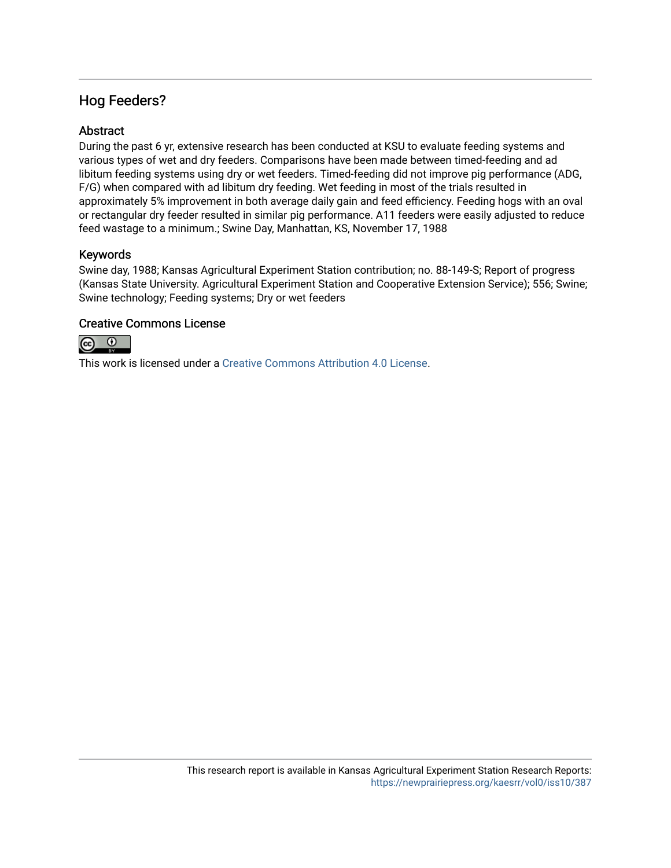### Hog Feeders?

### Abstract

During the past 6 yr, extensive research has been conducted at KSU to evaluate feeding systems and various types of wet and dry feeders. Comparisons have been made between timed-feeding and ad libitum feeding systems using dry or wet feeders. Timed-feeding did not improve pig performance (ADG, F/G) when compared with ad libitum dry feeding. Wet feeding in most of the trials resulted in approximately 5% improvement in both average daily gain and feed efficiency. Feeding hogs with an oval or rectangular dry feeder resulted in similar pig performance. A11 feeders were easily adjusted to reduce feed wastage to a minimum.; Swine Day, Manhattan, KS, November 17, 1988

#### Keywords

Swine day, 1988; Kansas Agricultural Experiment Station contribution; no. 88-149-S; Report of progress (Kansas State University. Agricultural Experiment Station and Cooperative Extension Service); 556; Swine; Swine technology; Feeding systems; Dry or wet feeders

#### Creative Commons License



This work is licensed under a [Creative Commons Attribution 4.0 License](https://creativecommons.org/licenses/by/4.0/).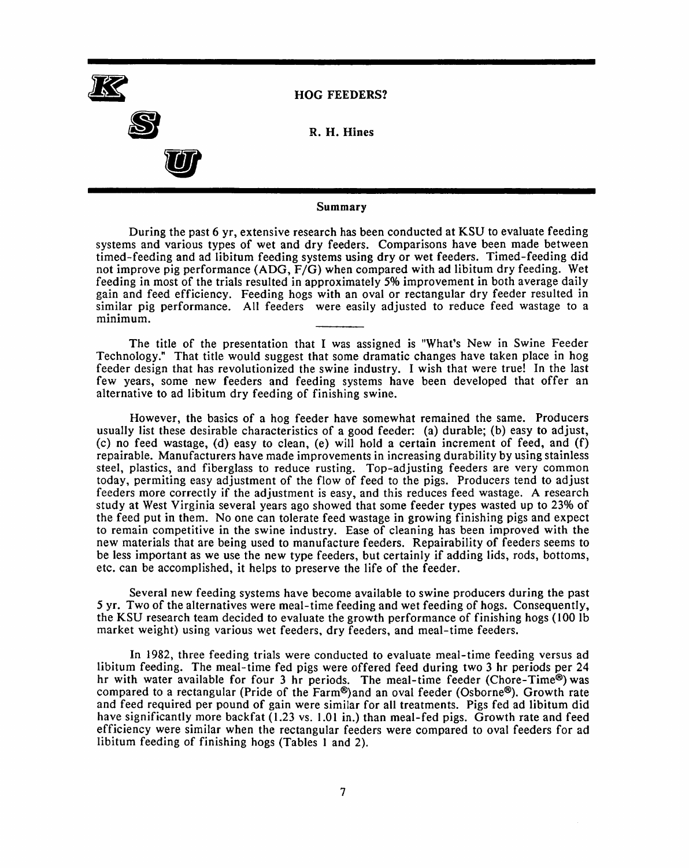

#### Summary

During the past 6 yr, extensive research has been conducted at KSU to evaluate feeding systems and various types of wet and dry feeders. Comparisons have been made between timed-feeding and ad libitum feeding systems using dry or wet feeders. Timed-feeding did not improve pig performance (ADG, F/G) when compared with ad libitum dry feeding. Wet feeding in most of the trials resulted in approximately 5% improvement in both average daily gain and feed efficiency. Feeding hogs with an oval or rectangular dry feeder resulted in similar pig performance. All feeders were easily adjusted to reduce feed wastage to a minimum.

The title of the presentation that I was assigned is "What's New in Swine Feeder Technology." That title would suggest that some dramatic changes have taken place in hog feeder design that has revolutionized the swine industry. I wish that were true! In the last few years, some new feeders and feeding systems have been developed that offer an alternative to ad libitum dry feeding of finishing swine.

However, the basics of a hog feeder have somewhat remained the same. Producers usually list these desirable characteristics of a good feeder: (a) durable; (b) easy to adjust, (c) no feed wastage, (d) easy to clean, (e) will hold a certain increment of feed, and (f) repairable. Manufacturers have made improvements in increasing durability by using stainless steel, plastics, and fiberglass to reduce rusting. Top-adjusting feeders are very common today, permiting easy adjustment of the flow of feed to the pigs. Producers tend to adjust feeders more correctly if the adjustment is easy, and this reduces feed wastage. A research study at West Virginia several years ago showed that some feeder types wasted up to 23% of the feed put in them. No one can tolerate feed wastage in growing finishing pigs and expect to remain competitive in the swine industry. Ease of cleaning has been improved with the new materials that are being used to manufacture feeders. Repairability of feeders seems to be less important as we use the new type feeders, but certainly if adding lids, rods, bottoms, etc. can be accomplished, it helps to preserve the life of the feeder.

Several new feeding systems have become available to swine producers during the past 5 yr. Two of the alternatives were meal-time feeding and wet feeding of hogs. Consequently, the KSU research team decided to evaluate the growth performance of finishing hogs (100 lb) market weight) using various wet feeders, dry feeders, and meal-time feeders.

In 1982, three feeding trials were conducted to evaluate meal-time feeding versus ad libitum feeding. The meal-time fed pigs were offered feed during two 3 hr periods per 24 hr with water available for four 3 hr periods. The meal-time feeder (Chore-Time®) was compared to a rectangular (Pride of the Farm®) and an oval feeder (Osborne®). Growth rate and feed required per pound of gain were similar for all treatments. Pigs fed ad libitum did have significantly more backfat (1.23 vs. 1.01 in.) than meal-fed pigs. Growth rate and feed efficiency were similar when the rectangular feeders were compared to oval feeders for ad libitum feeding of finishing hogs (Tables 1 and 2).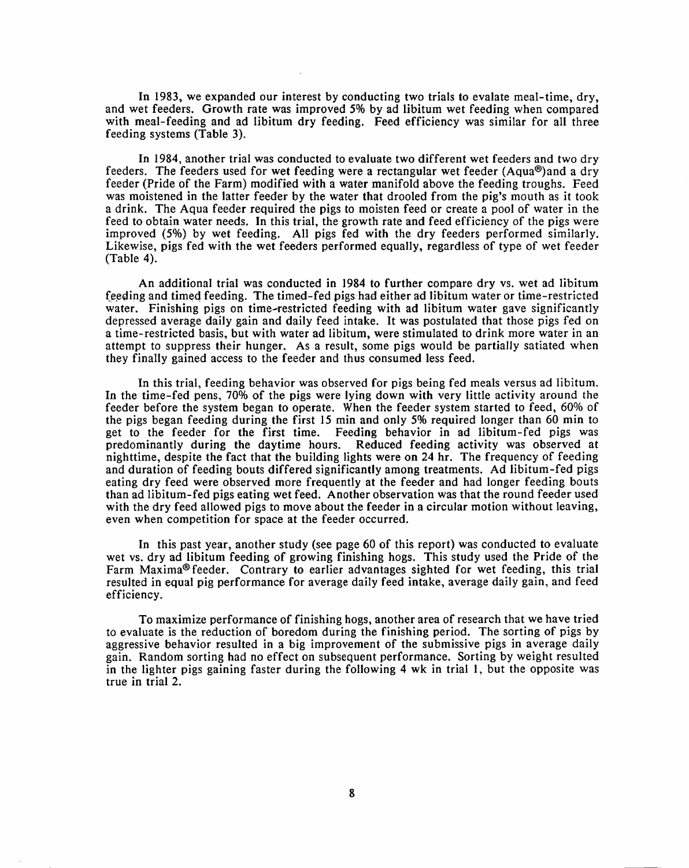In 1983, we expanded our interest by conducting two trials to evalate meal-time, dry, and wet feeders. Growth rate was improved 5% by ad libitum wet feeding when compared with meal-feeding and ad libitum dry feeding. Feed efficiency was similar for all three feeding systems (Table 3).

In 1984, another trial was conducted to evaluate two different wet feeders and two dry feeders. The feeders used for wet feeding were a rectangular wet feeder (Aqua®) and a dry feeder (Pride of the Farm) modified with a water manifold above the feeding troughs. Feed was moistened in the latter feeder by the water that drooled from the pig's mouth as it took a drink. The Aqua feeder required the pigs to moisten feed or create a pool of water in the feed to obtain water needs. In this trial, the growth rate and feed efficiency of the pigs were improved (5%) by wet feeding. All pigs fed with the dry feeders performed similarly. Likewise, pigs fed with the wet feeders performed equally, regardless of type of wet feeder (Table 4).

An additional trial was conducted in 1984 to further compare dry vs. wet ad libitum feeding and timed feeding. The timed-fed pigs had either ad libitum water or time-restricted water. Finishing pigs on time-restricted feeding with ad libitum water gave significantly depressed average daily gain and daily feed intake. It was postulated that those pigs fed on a time-restricted basis, but with water ad libitum, were stimulated to drink more water in an attempt to suppress their hunger. As a result, some pigs would be partially satiated when they finally gained access to the feeder and thus consumed less feed.

In this trial, feeding behavior was observed for pigs being fed meals versus ad libitum. In the time-fed pens, 70% of the pigs were lying down with very little activity around the feeder before the system began to operate. When the feeder system started to feed, 60% of the pigs began feeding during the first 15 min and only 5% required longer than 60 min to get to the feeder for the first time. Feeding behavior in ad libitum-fed pigs was predominantly during the daytime hours. Reduced feeding activity was observed at nighttime, despite the fact that the building lights were on 24 hr. The frequency of feeding and duration of feeding bouts differed significantly among treatments. Ad libitum-fed pigs eating dry feed were observed more frequently at the feeder and had longer feeding bouts than ad libitum-fed pigs eating wet feed. Another observation was that the round feeder used with the dry feed allowed pigs to move about the feeder in a circular motion without leaving, even when competition for space at the feeder occurred.

In this past year, another study (see page 60 of this report) was conducted to evaluate wet vs. dry ad libitum feeding of growing finishing hogs. This study used the Pride of the Farm Maxima® feeder. Contrary to earlier advantages sighted for wet feeding, this trial resulted in equal pig performance for average daily feed intake, average daily gain, and feed efficiency.

To maximize performance of finishing hogs, another area of research that we have tried to evaluate is the reduction of boredom during the finishing period. The sorting of pigs by aggressive behavior resulted in a big improvement of the submissive pigs in average daily gain. Random sorting had no effect on subsequent performance. Sorting by weight resulted in the lighter pigs gaining faster during the following 4 wk in trial 1, but the opposite was true in trial 2.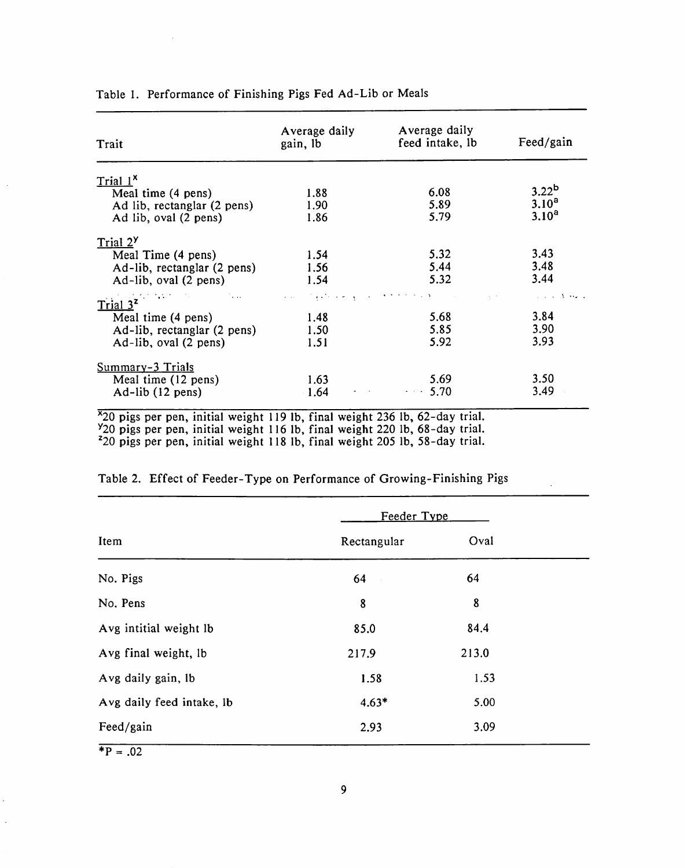| Trait                                                                                    | Average daily<br>gain, lb | Average daily<br>feed intake, lb | Feed/gain         |
|------------------------------------------------------------------------------------------|---------------------------|----------------------------------|-------------------|
| Trial <sup>x</sup>                                                                       |                           |                                  |                   |
| Meal time (4 pens)                                                                       | 1.88                      | 6.08                             | 3.22 <sup>b</sup> |
| Ad lib, rectanglar (2 pens)                                                              | 1.90                      | 5.89                             | $3.10^{a}$        |
| Ad lib, oval (2 pens)                                                                    | 1.86                      | 5.79                             | $3.10^{a}$        |
| Trial 2 <sup>Y</sup>                                                                     |                           |                                  |                   |
| Meal Time (4 pens)                                                                       | 1.54                      | 5.32                             | 3.43              |
| Ad-lib, rectanglar (2 pens)                                                              | 1.56                      | 5.44                             | 3.48              |
| Ad-lib, oval (2 pens)                                                                    | 1.54                      | 5.32                             | 3.44              |
| 医神经性白细胞 化二乙基双乙二乙二烯 医二乙醇 医前列腺 医前角 医卡普里克氏试验检尿道 医心包 医牙状的 医心包 医单纯 建砷酸盐<br>Trial <sup>2</sup> |                           |                                  |                   |
| Meal time (4 pens)                                                                       | 1.48                      | 5.68                             | 3.84              |
| Ad-lib, rectanglar (2 pens)                                                              | 1.50                      | 5.85                             | 3.90              |
| Ad-lib, oval (2 pens)                                                                    | 1.51                      | 5.92                             | 3.93              |
| Summary-3 Trials                                                                         |                           |                                  |                   |
| Meal time (12 pens)                                                                      | 1.63                      | 5.69                             | 3.50              |
| $Ad-lib(12 pens)$                                                                        | 1.64                      | $-3.70$                          | 3.49              |

Table 1. Performance of Finishing Pigs Fed Ad-Lib or Meals

 $\sim 10^7$ 

 $\ddot{\phantom{a}}$ 

 $\ddot{\phantom{a}}$  $\epsilon$   $\frac{9}{20}$  pigs per pen, initial weight 116 lb, final weight 220 lb, 68-day trial.<br><sup>2</sup>20 pigs per pen, initial weight 118 lb, final weight 205 lb, 58-day trial.

|                           | Feeder Type |       |  |
|---------------------------|-------------|-------|--|
| Item                      | Rectangular | Oval  |  |
| No. Pigs                  | 64          | 64    |  |
| No. Pens                  | 8           | 8     |  |
| Avg intitial weight lb    | 85.0        | 84.4  |  |
| Avg final weight, lb      | 217.9       | 213.0 |  |
| Avg daily gain, lb        | 1.58        | 1.53  |  |
| Avg daily feed intake, lb | $4.63*$     | 5.00  |  |
| Feed/gain                 | 2.93        | 3.09  |  |

 $\sim$ 

| Table 2. Effect of Feeder-Type on Performance of Growing-Finishing Pigs |  |  |  |  |  |
|-------------------------------------------------------------------------|--|--|--|--|--|
|-------------------------------------------------------------------------|--|--|--|--|--|

 $*P = .02$